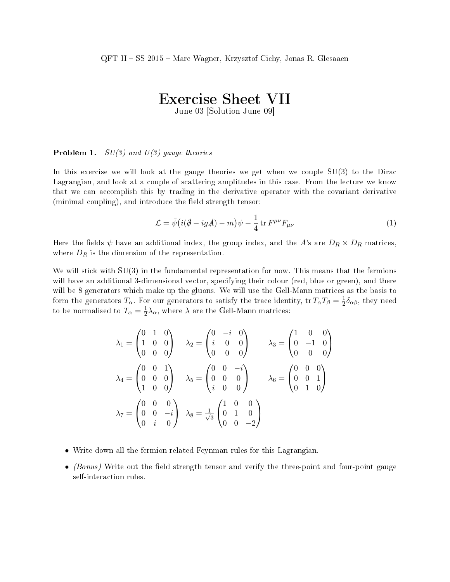## Exercise Sheet VII

June 03 [Solution June 09]

## **Problem 1.**  $SU(3)$  and  $U(3)$  gauge theories

In this exercise we will look at the gauge theories we get when we couple  $SU(3)$  to the Dirac Lagrangian, and look at a couple of scattering amplitudes in this case. From the lecture we know that we can accomplish this by trading in the derivative operator with the covariant derivative (minimal coupling), and introduce the field strength tensor:

$$
\mathcal{L} = \bar{\psi} \left( i(\partial - igA) - m \right) \psi - \frac{1}{4} \operatorname{tr} F^{\mu \nu} F_{\mu \nu} \tag{1}
$$

Here the fields  $\psi$  have an additional index, the group index, and the A's are  $D_R \times D_R$  matrices, where  $D_R$  is the dimension of the representation.

We will stick with  $SU(3)$  in the fundamental representation for now. This means that the fermions will have an additional 3-dimensional vector, specifying their colour (red, blue or green), and there will be 8 generators which make up the gluons. We will use the Gell-Mann matrices as the basis to form the generators  $T_{\alpha}$ . For our generators to satisfy the trace identity, tr  $T_{\alpha}T_{\beta}=\frac{1}{2}$  $\frac{1}{2}\delta_{\alpha\beta}$ , they need to be normalised to  $T_{\alpha} = \frac{1}{2}$  $\frac{1}{2}\lambda_{\alpha}$ , where  $\lambda$  are the Gell-Mann matrices:

$$
\lambda_1 = \begin{pmatrix} 0 & 1 & 0 \\ 1 & 0 & 0 \\ 0 & 0 & 0 \end{pmatrix} \quad \lambda_2 = \begin{pmatrix} 0 & -i & 0 \\ i & 0 & 0 \\ 0 & 0 & 0 \end{pmatrix} \quad \lambda_3 = \begin{pmatrix} 1 & 0 & 0 \\ 0 & -1 & 0 \\ 0 & 0 & 0 \end{pmatrix}
$$

$$
\lambda_4 = \begin{pmatrix} 0 & 0 & 1 \\ 0 & 0 & 0 \\ 1 & 0 & 0 \end{pmatrix} \quad \lambda_5 = \begin{pmatrix} 0 & 0 & -i \\ 0 & 0 & 0 \\ i & 0 & 0 \end{pmatrix} \quad \lambda_6 = \begin{pmatrix} 0 & 0 & 0 \\ 0 & 0 & 1 \\ 0 & 1 & 0 \end{pmatrix}
$$

$$
\lambda_7 = \begin{pmatrix} 0 & 0 & 0 \\ 0 & 0 & -i \\ 0 & i & 0 \end{pmatrix} \quad \lambda_8 = \frac{1}{\sqrt{3}} \begin{pmatrix} 1 & 0 & 0 \\ 0 & 1 & 0 \\ 0 & 0 & -2 \end{pmatrix}
$$

- Write down all the fermion related Feynman rules for this Lagrangian.
- (Bonus) Write out the field strength tensor and verify the three-point and four-point gauge self-interaction rules.